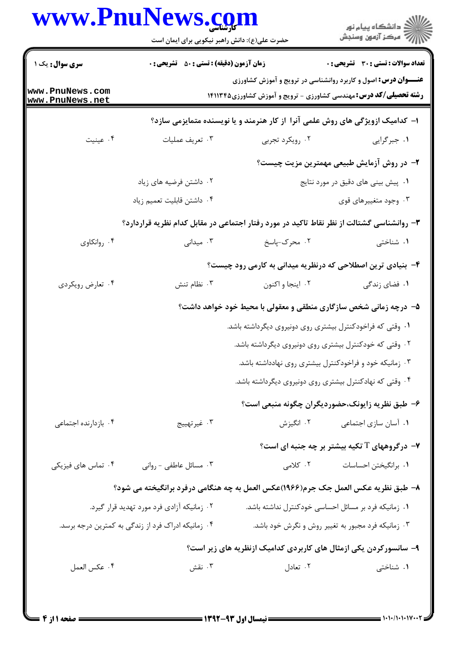## **WWW PnuNews com**

|                                    | www.PnuNews.com<br>حضرت علی(ع): دانش راهبر نیکویی برای ایمان است                          |                                                           | ڪ دانشڪاه پيام نور<br>پ <sup>ر</sup> مرڪز آزمون وسنڊش                                                                                             |
|------------------------------------|-------------------------------------------------------------------------------------------|-----------------------------------------------------------|---------------------------------------------------------------------------------------------------------------------------------------------------|
| <b>سری سوال :</b> یک ۱             | <b>زمان آزمون (دقیقه) : تستی : 50 ٪ تشریحی : 0</b>                                        |                                                           | تعداد سوالات : تستي : 30 ٪ تشريحي : 0                                                                                                             |
| www.PnuNews.com<br>www.PnuNews.net |                                                                                           |                                                           | <b>عنـــوان درس:</b> اصول و کاربرد روانشناسی در ترویج و آموزش کشاورزی<br><b>رشته تحصیلی/کد درس:</b> مهندسی کشاورزی - ترویج و آموزش کشاورزی۱۴۱۱۳۴۵ |
|                                    |                                                                                           |                                                           | ا- کدامیک ازویژگی های روش علمی آنرا از کار هنرمند و یا نویسنده متمایزمی سازد؟                                                                     |
| ۰۴ عينيت                           | ۰۳ تعريف عمليات                                                                           | ۰۲ رویکرد تجربی                                           | ١. جبرگرايي                                                                                                                                       |
|                                    |                                                                                           |                                                           | ۲- در روش آزمایش طبیعی مهمترین مزیت چیست؟                                                                                                         |
|                                    | ۰۲ داشتن فرضیه های زیاد                                                                   |                                                           | ۰۱ پیش بینی های دقیق در مورد نتایج                                                                                                                |
|                                    | ۰۴ داشتن قابلیت تعمیم زیاد                                                                |                                                           | ۰۳ وجود متغییرهای قوی                                                                                                                             |
|                                    | ۳- روانشناسی گشتالت از نظر نقاط تاکید در مورد رفتار اجتماعی در مقابل کدام نظریه قراردارد؟ |                                                           |                                                                                                                                                   |
| ۰۴ روانکاوی                        | ۰۳ میدانی                                                                                 | ۰۲ محرک-پاسخ                                              | ۰۱ شناختی                                                                                                                                         |
|                                    |                                                                                           |                                                           | ۴- بنیادی ترین اصطلاحی که درنظریه میدانی به کارمی رود چیست؟                                                                                       |
| ۰۴ تعارض رويكردي                   | ۰۳ نظام تنش                                                                               | ۰۲ اینجا و اکنون                                          | ۰۱ فضای زندگی                                                                                                                                     |
|                                    |                                                                                           |                                                           | ۵- درچه زمانی شخص سازگاری منطقی و معقولی با محیط خود خواهد داشت؟                                                                                  |
|                                    |                                                                                           | ۰۱ وقتی که فراخودکنترل بیشتری روی دونیروی دیگرداشته باشد. |                                                                                                                                                   |
|                                    |                                                                                           | ۰۲ وقتی که خودکنترل بیشتری روی دونیروی دیگرداشته باشد.    |                                                                                                                                                   |
|                                    |                                                                                           |                                                           | ۰۳ زمانیکه خود و فراخودکنترل بیشتری روی نهادداشته باشد.                                                                                           |
|                                    |                                                                                           |                                                           | ۰۴ وقتی که نهادکنترل بیشتری روی دونیروی دیگرداشته باشد.                                                                                           |
|                                    |                                                                                           |                                                           | ۶– طبق نظریه زایونک،حضوردیگران چگونه منبعی است؟                                                                                                   |
| ۰۴ بازدارنده اجتماعی               | ۰۳ غیرتهییج                                                                               | ۰۲ انگیزش                                                 | ۰۱ آسان سازی اجتماعی                                                                                                                              |
|                                    |                                                                                           |                                                           | $\cdot$ ۰ درگروههای $\mathrm{T}$ تکیه بیشتر بر چه جنبه ای است $\cdot$                                                                             |
| ۰۴ تماس های فیزیکی                 | ۰۳ مسائل عاطفی - روانی                                                                    | ۲. کلامی                                                  | ۰۱ برانگیختن احساسات                                                                                                                              |
|                                    | ۸– طبق نظریه عکس العمل جک جرم(۱۹۶۶)عکس العمل به چه هنگامی درفرد برانگیخته می شود؟         |                                                           |                                                                                                                                                   |
|                                    | ۰۲ زمانیکه آزادی فرد مورد تهدید قرار گیرد.                                                |                                                           | ۰۱ زمانیکه فرد بر مسائل احساسی خودکنترل نداشته باشد.                                                                                              |
|                                    | ۰۴ زمانیکه ادراک فرد از زندگی به کمترین درجه برسد.                                        |                                                           | ۰۳ زمانیکه فرد مجبور به تغییر روش و نگرش خود باشد.                                                                                                |
|                                    |                                                                                           |                                                           | ۹- سانسورکردن یکی ازمثال های کاربردی کدامیک ازنظریه های زیر است؟                                                                                  |
| ۰۴ عكس العمل                       | ۰۳ نقش                                                                                    | ۰۲ تعادل                                                  | ۰۱ شناختی                                                                                                                                         |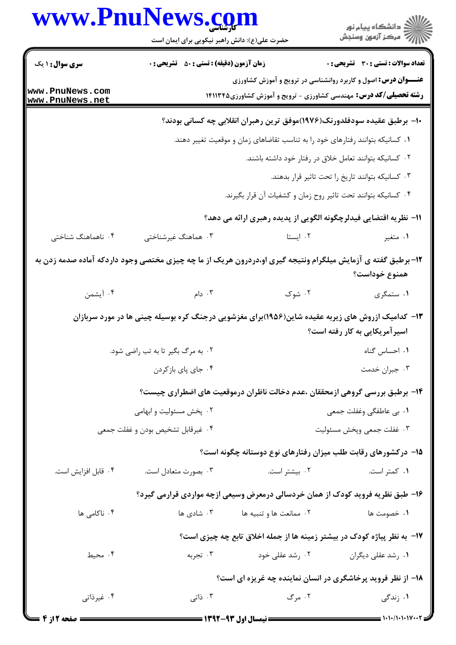| www.PnuNews.com        |                                                    |                                                                                                              |                                                   |
|------------------------|----------------------------------------------------|--------------------------------------------------------------------------------------------------------------|---------------------------------------------------|
|                        | حضرت علی(ع): دانش راهبر نیکویی برای ایمان است      |                                                                                                              |                                                   |
| <b>سری سوال : ۱ یک</b> | <b>زمان آزمون (دقیقه) : تستی : 50 ٪ تشریحی : 0</b> |                                                                                                              | <b>تعداد سوالات : تستی : 30 ٪ تشریحی : 0</b>      |
| www.PnuNews.com        |                                                    | <b>عنـــوان درس:</b> اصول و کاربرد روانشناسی در ترویج و آموزش کشاورزی                                        |                                                   |
| www.PnuNews.net        |                                                    | <b>رشته تحصیلی/کد درس:</b> مهندسی کشاورزی - ترویج و آموزش کشاورزی14۱۱۳۴۵                                     |                                                   |
|                        |                                                    | ∙ا− برطبق عقیده سودفلدورنک(۱۹۷۶)موفق ترین رهبران انقلابی چه کسانی بودند؟                                     |                                                   |
|                        |                                                    | ۰۱ کسانیکه بتوانند رفتارهای خود را به تناسب تقاضاهای زمان و موقعیت تغییر دهند.                               |                                                   |
|                        |                                                    | ۰۲ کسانیکه بتوانند تعامل خلاق در رفتار خود داشته باشند.                                                      |                                                   |
|                        |                                                    |                                                                                                              | ۰۳ کسانیکه بتوانند تاریخ را تحت تاثیر قرار بدهند. |
|                        |                                                    | ۰۴ کسانیکه بتوانند تحت تاثیر روح زمان و کشفیات آن قرار بگیرند.                                               |                                                   |
|                        |                                                    | اا− نظریه اقتضایی فیدلرچگونه الگویی از پدیده رهبری ارائه می دهد؟                                             |                                                   |
| ۰۴ ناهماهنگ شناختی     | ۰۳ هماهنگ غیرشناختی                                | ۰۲ ایستا                                                                                                     | ۰۱ متغیر                                          |
|                        |                                                    | ۱۲- برطبق گفته ی آزمایش میلگرام ونتیجه گیری او،دردرون هریک از ما چه چیزی مختصی وجود داردکه آماده صدمه زدن به | همنوع خوداست؟                                     |
| ۰۴ آیشمن               | ا دام $\cdot$ ۳ .                                  | ۰۲ شوک                                                                                                       | ۰۱ ستمگری                                         |
|                        |                                                    | ۱۳- کدامیک ازروش های زیربه عقیده شاین(۱۹۵۶)برای مغزشویی درجنگ کره بوسیله چینی ها در مورد سربازان             | اسیر آمریکایی به کار رفته است؟                    |
|                        | ۰۲ به مرگ بگیر تا به تب راضی شود.                  |                                                                                                              | ۰۱ احساس گناه                                     |
|                        | ۰۴ جای پای بازکردن                                 |                                                                                                              | ۰۳ جبران خدمت                                     |
|                        |                                                    | ۱۴– برطبق بررسی گروهی ازمحققان ،عدم دخالت ناظران درموقعیت های اضطراری چیست؟                                  |                                                   |
|                        | ۰۲ پخش مسئولیت و ابهامی                            |                                                                                                              | ۰۱ بی عاطفگی وغفلت جمعی                           |
|                        | ۰۴ غیرقابل تشخیص بودن و غفلت جمعی                  |                                                                                                              | ٠٣ غفلت جمعي ويخش مسئوليت                         |
|                        |                                                    | ۱۵– درکشورهای رقابت طلب میزان رفتارهای نوع دوستانه چگونه است؟                                                |                                                   |
| ۰۴ قابل افزايش است.    | ۰۳ بصورت متعادل است.                               | ۰۲ بیشتر است.                                                                                                | ۰۱ کمتر است.                                      |
|                        |                                                    | ۱۶- طبق نظریه فروید کودک از همان خردسالی درمعرض وسیعی ازچه مواردی قرارمی گیرد؟                               |                                                   |
| ۰۴ ناکامی ها           | ۰۳ شادی ها                                         | ۰۲ ممانعت ها و تنبیه ها                                                                                      | ۰۱ خصومت ها                                       |
|                        |                                                    | ۱۷- به نظر پیاژه کودک در بیشتر زمینه ها از جمله اخلاق تابع چه چیزی است؟                                      |                                                   |
| ۰۴ محیط                | ۰۳ تجربه                                           | ۰۲ رشد عقلی خود                                                                                              | ۰۱ رشد عقلی دیگران                                |
|                        |                                                    | <b>۱۸</b> - از نظر فروید پرخاشگری در انسان نماینده چه غریزه ای است؟                                          |                                                   |
| ۰۴ غیرذاتی             | ۰۳ ذاتی                                            | ۰۲ مرگ                                                                                                       | ۰۱ زندگی                                          |

 $1.1 - 1.1 - 1.1$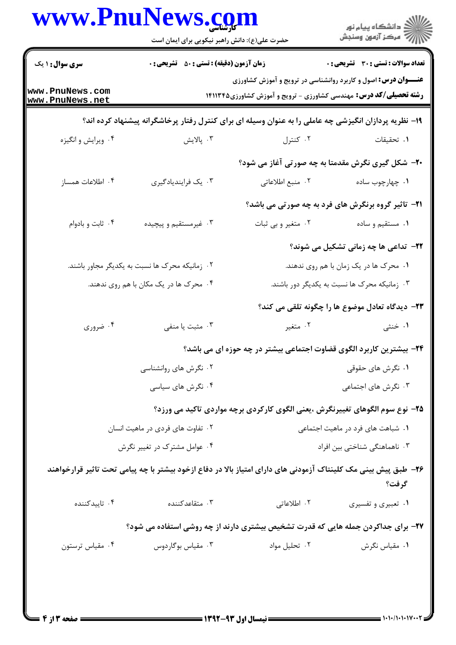|                                                | www.PnuNews.com<br>حضرت علی(ع): دانش راهبر نیکویی برای ایمان است |                                                                                                                | ڪ دانشڪاه پيام نور<br>/> مرڪز آزمون وسنڊش                     |
|------------------------------------------------|------------------------------------------------------------------|----------------------------------------------------------------------------------------------------------------|---------------------------------------------------------------|
| <b>سری سوال : ۱ یک</b>                         | <b>زمان آزمون (دقیقه) : تستی : 50 ٪ تشریحی : 0</b>               |                                                                                                                | <b>تعداد سوالات : تستی : 30 ٪ تشریحی : 0</b>                  |
|                                                |                                                                  | <b>عنـــوان درس:</b> اصول و کاربرد روانشناسی در ترویج و آموزش کشاورزی                                          |                                                               |
| www.PnuNews.com<br>www.PnuNews.net             |                                                                  | <b>رشته تحصیلی/کد درس:</b> مهندسی کشاورزی - ترویج و آموزش کشاورزی1۴۱۱۳۴۵                                       |                                                               |
|                                                |                                                                  | ۱۹- نظریه پردازان انگیزشی چه عاملی را به عنوان وسیله ای برای کنترل رفتار پرخاشگرانه پیشنهاد کرده اند؟          |                                                               |
| ۰۴ ویرایش و انگیزه                             | ۰۳ پالايش                                                        | ۰۲ کنترل                                                                                                       | ٠. تحقيقات                                                    |
|                                                |                                                                  |                                                                                                                | ۲۰- شکل گیری نگرش مقدمتا به چه صورتی آغاز می شود؟             |
| ۰۴ اطلاعات همساز                               | ۰۳ یک فرایندیادگیری                                              | ٠٢ منبع اطلاعاتي                                                                                               | ۰۱ چهارچوب ساده                                               |
|                                                |                                                                  |                                                                                                                | <b>۲۱</b> - تاثیر گروه برنگرش های فرد به چه صورتی می باشد؟    |
| ۰۴ ثابت و بادوام                               | ۰۳ غیرمستقیم و پیچیده                                            | ۰۲ متغیر و بی ثبات                                                                                             | ۰۱ مستقیم و ساده                                              |
|                                                |                                                                  |                                                                                                                | <b>۲۲</b> - تداعی ها چه زمانی تشکیل می شوند؟                  |
| ۰۲ زمانیکه محرک ها نسبت به یکدیگر مجاور باشند. |                                                                  |                                                                                                                | ۰۱ محرک ها در یک زمان با هم روی ندهند.                        |
| ۰۴ محرک ها در یک مکان با هم روی ندهند.         |                                                                  |                                                                                                                | ۰۳ زمانیکه محرک ها نسبت به یکدیگر دور باشند.                  |
|                                                |                                                                  |                                                                                                                | <mark>۲۳</mark> - دیدگاه تعادل موضوع ها را چگونه تلقی می کند؟ |
| ۰۴ ضروری                                       | ۰۳ مثبت یا منفی                                                  | ۰۲ متغیر                                                                                                       | ۰۱ خنثی                                                       |
|                                                |                                                                  | ۲۴– بیشترین کاربرد الگوی قضاوت اجتماعی بیشتر در چه حوزه ای می باشد؟                                            |                                                               |
|                                                | ۰۲ نگرش های روانشناسی                                            |                                                                                                                | ۰۱ نگرش های حقوقی                                             |
|                                                | ۰۴ نگرش های سیاسی                                                |                                                                                                                | ۰۳ نگرش های اجتماعی                                           |
|                                                |                                                                  | ۲۵– نوع سوم الگوهای تغییرنگرش ،یعنی الگوی کارکردی برچه مواردی تاکید می ورزد؟                                   |                                                               |
| ۰۲ تفاوت های فردی در ماهیت انسان               |                                                                  |                                                                                                                | ۰۱ شباهت های فرد در ماهیت اجتماعی                             |
|                                                | ۰۴ عوامل مشترک در تغییر نگرش                                     |                                                                                                                | ۰۳ ناهماهنگی شناختی بین افراد                                 |
|                                                |                                                                  | ۲۶– طبق پیش بینی مک کلینتاک آزمودنی های دارای امتیاز بالا در دفاع ازخود بیشتر با چه پیامی تحت تاثیر قرارخواهند | گرفت؟                                                         |
| ۰۴ تاييدكننده                                  | ۰۳ متقاعدکننده                                                   | ۰۲ اطلاعاتی                                                                                                    | ۰۱ تعبیری و تفسیری                                            |
|                                                |                                                                  | ۲۷- برای جداکردن جمله هایی که قدرت تشخیص بیشتری دارند از چه روشی استفاده می شود؟                               |                                                               |
| ۰۴ مقیاس ترستون                                | ۰۳ مقياس بوگاردوس                                                | ۰۲ تحلیل مواد                                                                                                  | ٠١ مقياس نگرش                                                 |

 $\blacksquare$  )  $\cdot$  )  $\cdot$  / )  $\cdot$  )  $\cdot$  )  $\vee$   $\cdot$